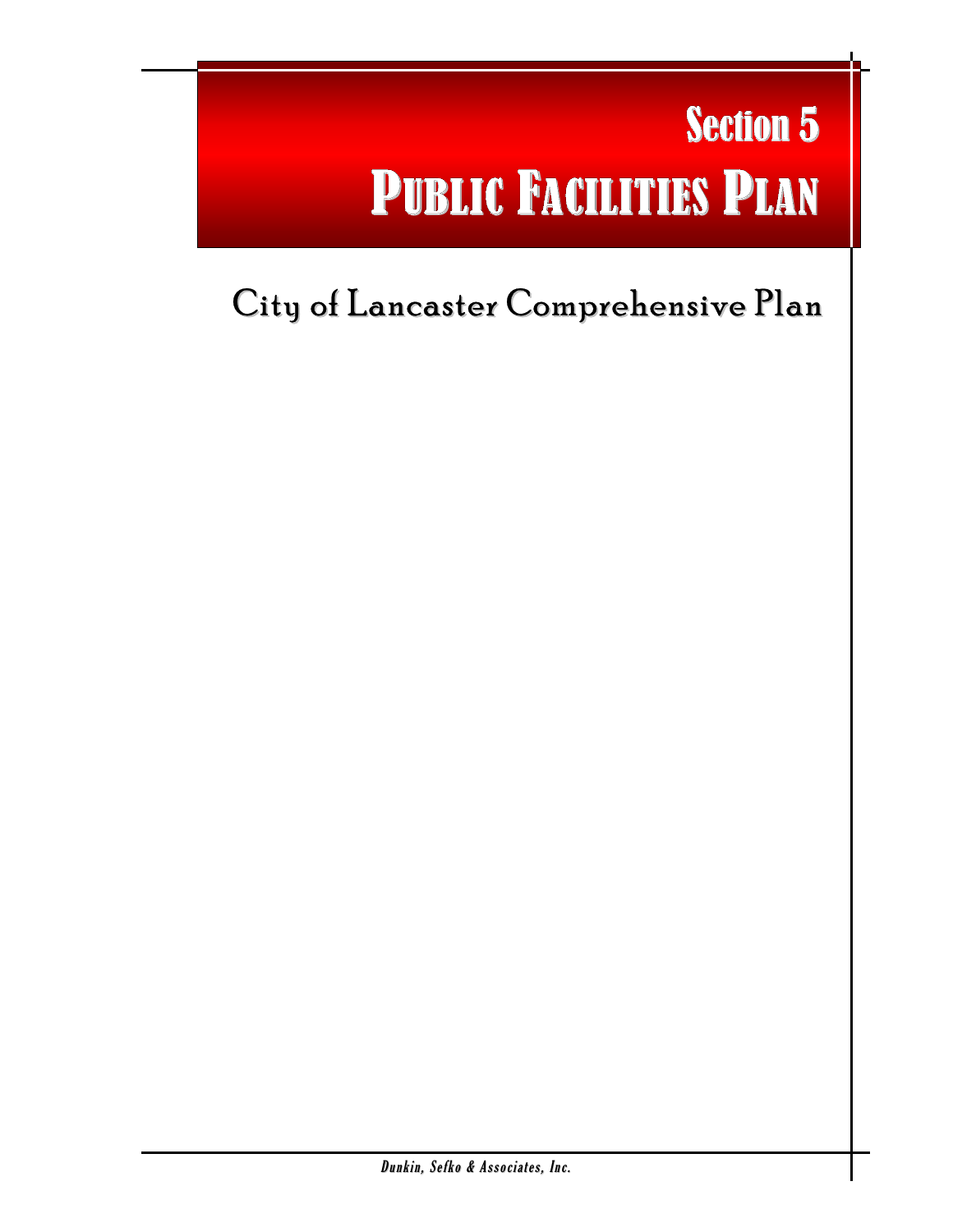# Section 5 PUBLIC FACILITIES PLAN

l

## City of Lancaster Comprehensive Plan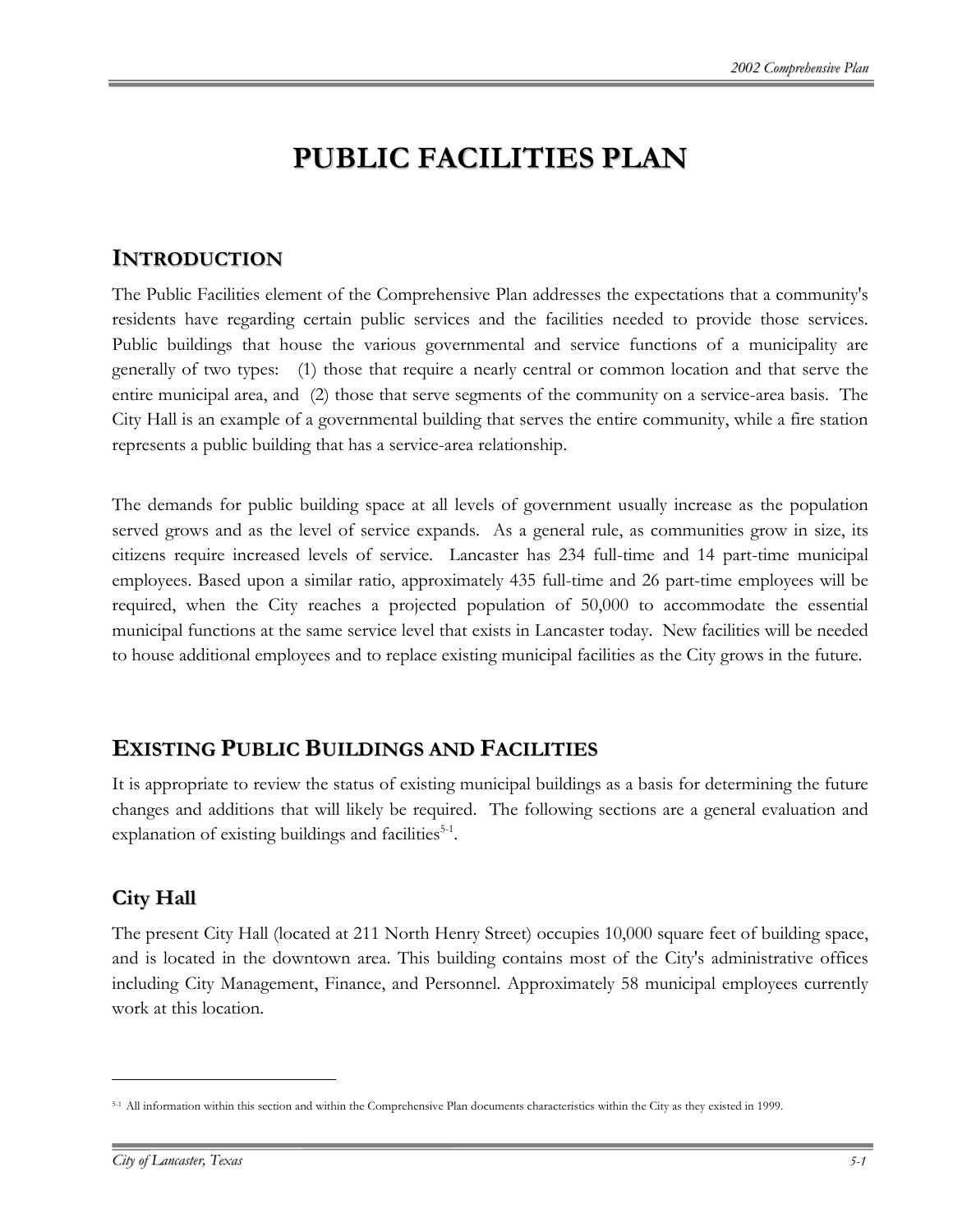### **PUBLIC FACILITIES PLAN**

#### **INTRODUCTION**

The Public Facilities element of the Comprehensive Plan addresses the expectations that a community's residents have regarding certain public services and the facilities needed to provide those services. Public buildings that house the various governmental and service functions of a municipality are generally of two types: (1) those that require a nearly central or common location and that serve the entire municipal area, and (2) those that serve segments of the community on a service-area basis. The City Hall is an example of a governmental building that serves the entire community, while a fire station represents a public building that has a service-area relationship.

The demands for public building space at all levels of government usually increase as the population served grows and as the level of service expands. As a general rule, as communities grow in size, its citizens require increased levels of service. Lancaster has 234 full-time and 14 part-time municipal employees. Based upon a similar ratio, approximately 435 full-time and 26 part-time employees will be required, when the City reaches a projected population of 50,000 to accommodate the essential municipal functions at the same service level that exists in Lancaster today. New facilities will be needed to house additional employees and to replace existing municipal facilities as the City grows in the future.

#### **EXISTING PUBLIC BUILDINGS AND FACILITIES**

It is appropriate to review the status of existing municipal buildings as a basis for determining the future changes and additions that will likely be required. The following sections are a general evaluation and explanation of existing buildings and facilities $5-1$  $5-1$ .

#### **City Hall**

 $\overline{a}$ 

The present City Hall (located at 211 North Henry Street) occupies 10,000 square feet of building space, and is located in the downtown area. This building contains most of the City's administrative offices including City Management, Finance, and Personnel. Approximately 58 municipal employees currently work at this location.

<span id="page-1-0"></span><sup>5-1</sup> All information within this section and within the Comprehensive Plan documents characteristics within the City as they existed in 1999.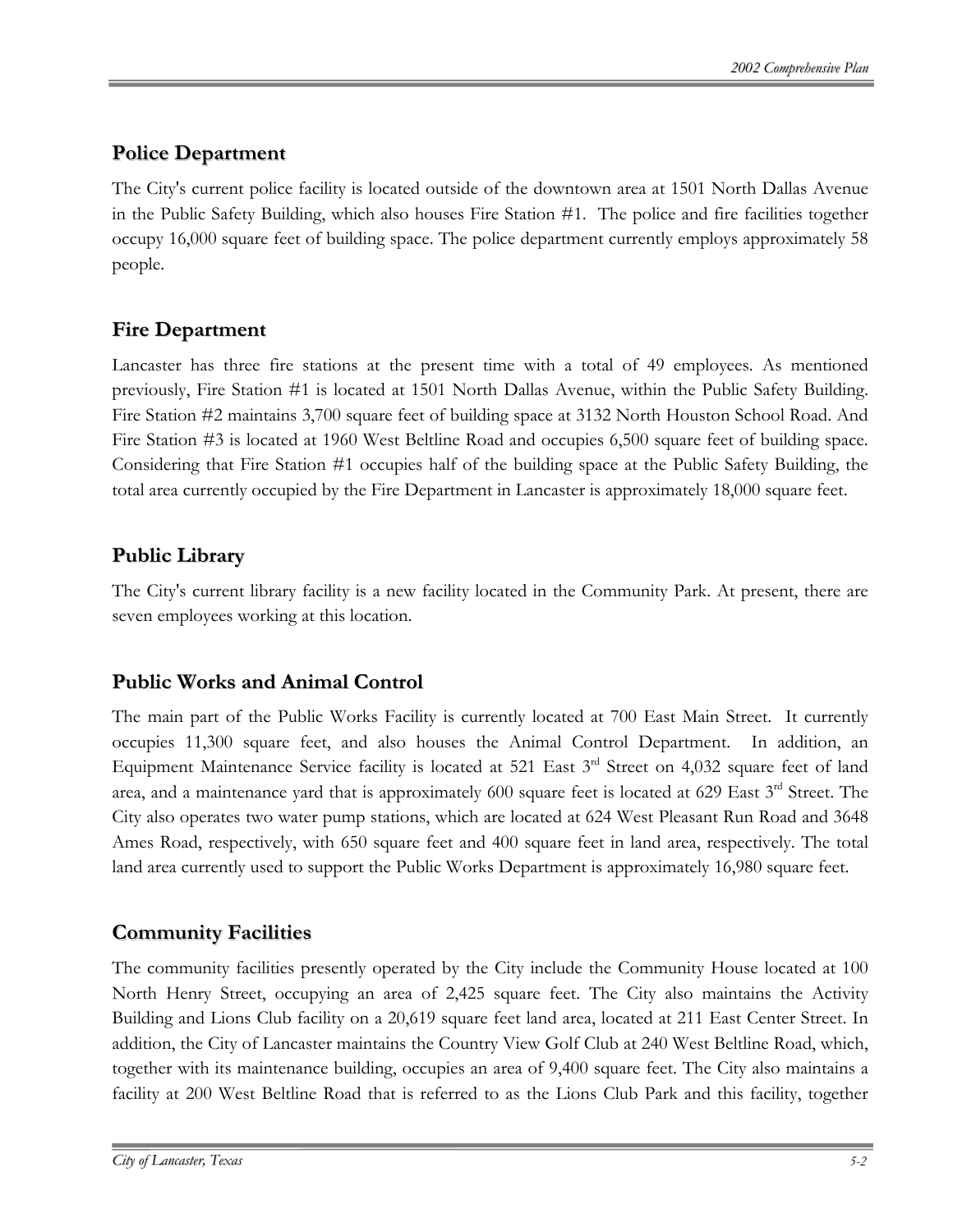#### **Police Department**

The City's current police facility is located outside of the downtown area at 1501 North Dallas Avenue in the Public Safety Building, which also houses Fire Station #1. The police and fire facilities together occupy 16,000 square feet of building space. The police department currently employs approximately 58 people.

#### **Fire Department**

Lancaster has three fire stations at the present time with a total of 49 employees. As mentioned previously, Fire Station #1 is located at 1501 North Dallas Avenue, within the Public Safety Building. Fire Station #2 maintains 3,700 square feet of building space at 3132 North Houston School Road. And Fire Station #3 is located at 1960 West Beltline Road and occupies 6,500 square feet of building space. Considering that Fire Station #1 occupies half of the building space at the Public Safety Building, the total area currently occupied by the Fire Department in Lancaster is approximately 18,000 square feet.

#### **Public Library**

The City's current library facility is a new facility located in the Community Park. At present, there are seven employees working at this location.

#### **Public Works and Animal Control**

The main part of the Public Works Facility is currently located at 700 East Main Street. It currently occupies 11,300 square feet, and also houses the Animal Control Department. In addition, an Equipment Maintenance Service facility is located at 521 East 3<sup>rd</sup> Street on 4,032 square feet of land area, and a maintenance yard that is approximately 600 square feet is located at 629 East 3<sup>rd</sup> Street. The City also operates two water pump stations, which are located at 624 West Pleasant Run Road and 3648 Ames Road, respectively, with 650 square feet and 400 square feet in land area, respectively. The total land area currently used to support the Public Works Department is approximately 16,980 square feet.

#### **Community Facilities**

The community facilities presently operated by the City include the Community House located at 100 North Henry Street, occupying an area of 2,425 square feet. The City also maintains the Activity Building and Lions Club facility on a 20,619 square feet land area, located at 211 East Center Street. In addition, the City of Lancaster maintains the Country View Golf Club at 240 West Beltline Road, which, together with its maintenance building, occupies an area of 9,400 square feet. The City also maintains a facility at 200 West Beltline Road that is referred to as the Lions Club Park and this facility, together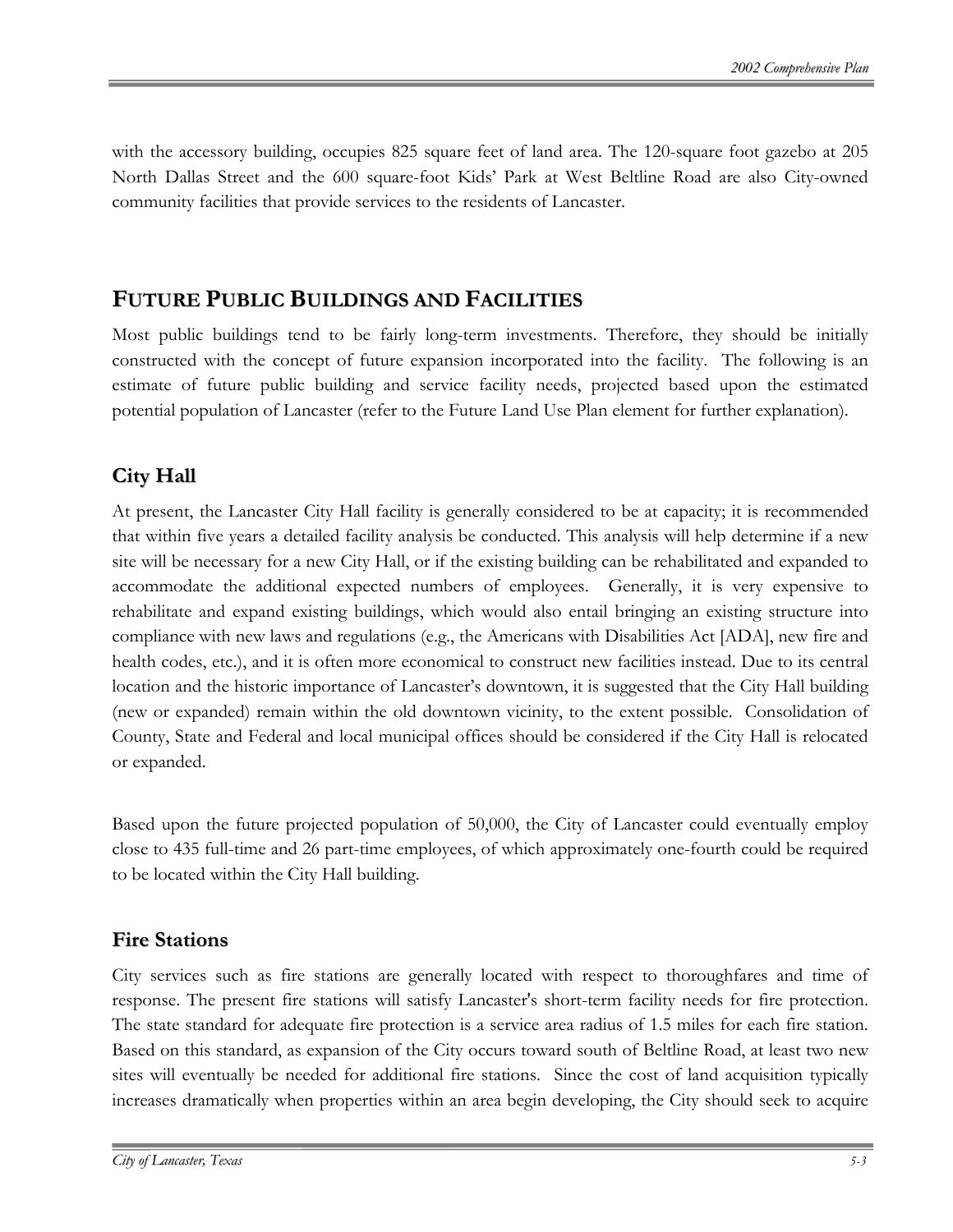with the accessory building, occupies 825 square feet of land area. The 120-square foot gazebo at 205 North Dallas Street and the 600 square-foot Kids' Park at West Beltline Road are also City-owned community facilities that provide services to the residents of Lancaster.

#### **FUTURE PUBLIC BUILDINGS AND FACILITIES**

Most public buildings tend to be fairly long-term investments. Therefore, they should be initially constructed with the concept of future expansion incorporated into the facility. The following is an estimate of future public building and service facility needs, projected based upon the estimated potential population of Lancaster (refer to the Future Land Use Plan element for further explanation).

#### **City Hall**

At present, the Lancaster City Hall facility is generally considered to be at capacity; it is recommended that within five years a detailed facility analysis be conducted. This analysis will help determine if a new site will be necessary for a new City Hall, or if the existing building can be rehabilitated and expanded to accommodate the additional expected numbers of employees. Generally, it is very expensive to rehabilitate and expand existing buildings, which would also entail bringing an existing structure into compliance with new laws and regulations (e.g., the Americans with Disabilities Act [ADA], new fire and health codes, etc.), and it is often more economical to construct new facilities instead. Due to its central location and the historic importance of Lancaster's downtown, it is suggested that the City Hall building (new or expanded) remain within the old downtown vicinity, to the extent possible. Consolidation of County, State and Federal and local municipal offices should be considered if the City Hall is relocated or expanded.

Based upon the future projected population of 50,000, the City of Lancaster could eventually employ close to 435 full-time and 26 part-time employees, of which approximately one-fourth could be required to be located within the City Hall building.

#### **Fire Stations**

City services such as fire stations are generally located with respect to thoroughfares and time of response. The present fire stations will satisfy Lancaster's short-term facility needs for fire protection. The state standard for adequate fire protection is a service area radius of 1.5 miles for each fire station. Based on this standard, as expansion of the City occurs toward south of Beltline Road, at least two new sites will eventually be needed for additional fire stations. Since the cost of land acquisition typically increases dramatically when properties within an area begin developing, the City should seek to acquire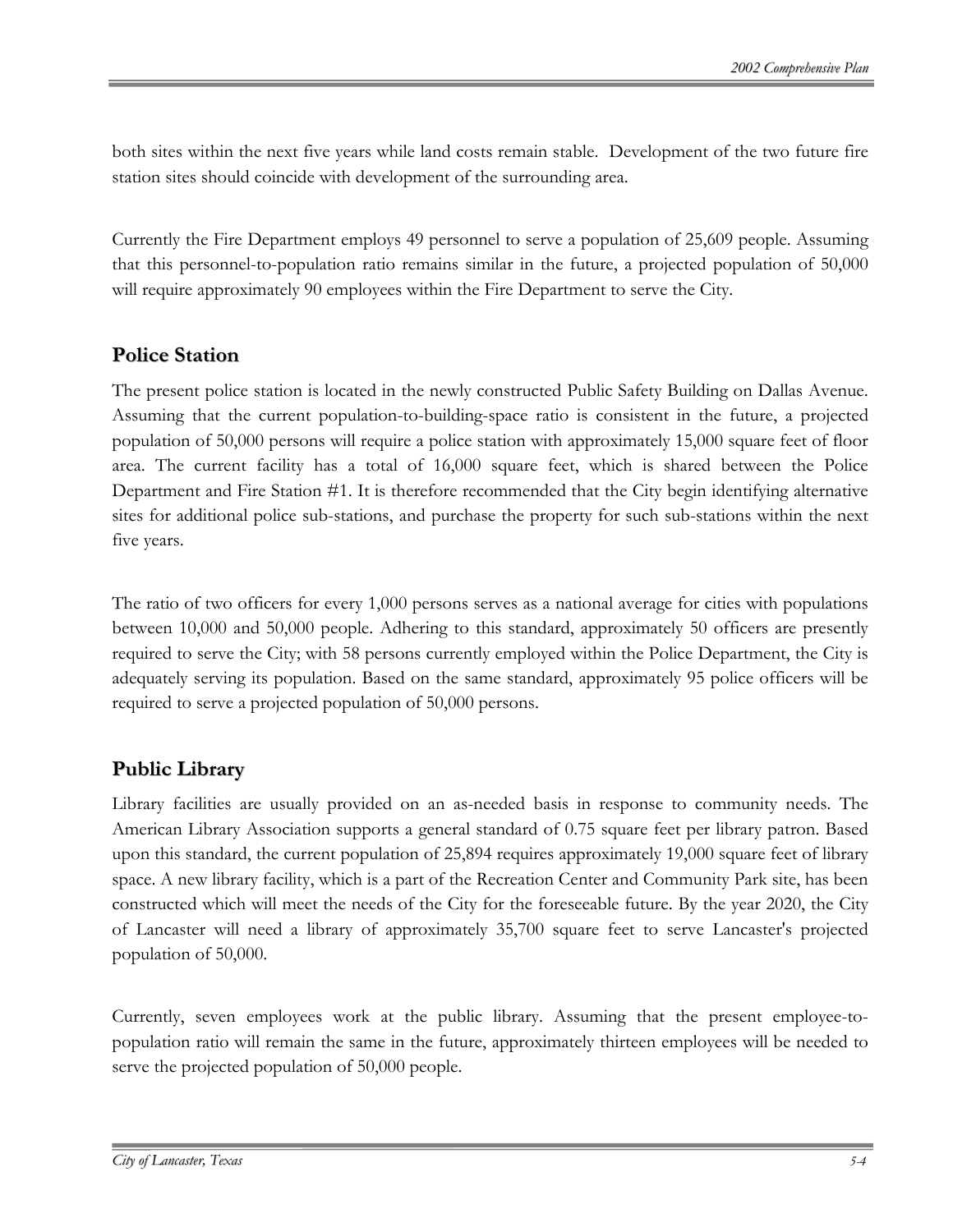both sites within the next five years while land costs remain stable. Development of the two future fire station sites should coincide with development of the surrounding area.

Currently the Fire Department employs 49 personnel to serve a population of 25,609 people. Assuming that this personnel-to-population ratio remains similar in the future, a projected population of 50,000 will require approximately 90 employees within the Fire Department to serve the City.

#### **Police Station**

The present police station is located in the newly constructed Public Safety Building on Dallas Avenue. Assuming that the current population-to-building-space ratio is consistent in the future, a projected population of 50,000 persons will require a police station with approximately 15,000 square feet of floor area. The current facility has a total of 16,000 square feet, which is shared between the Police Department and Fire Station #1. It is therefore recommended that the City begin identifying alternative sites for additional police sub-stations, and purchase the property for such sub-stations within the next five years.

The ratio of two officers for every 1,000 persons serves as a national average for cities with populations between 10,000 and 50,000 people. Adhering to this standard, approximately 50 officers are presently required to serve the City; with 58 persons currently employed within the Police Department, the City is adequately serving its population. Based on the same standard, approximately 95 police officers will be required to serve a projected population of 50,000 persons.

#### **Public Library**

Library facilities are usually provided on an as-needed basis in response to community needs. The American Library Association supports a general standard of 0.75 square feet per library patron. Based upon this standard, the current population of 25,894 requires approximately 19,000 square feet of library space. A new library facility, which is a part of the Recreation Center and Community Park site, has been constructed which will meet the needs of the City for the foreseeable future. By the year 2020, the City of Lancaster will need a library of approximately 35,700 square feet to serve Lancaster's projected population of 50,000.

Currently, seven employees work at the public library. Assuming that the present employee-topopulation ratio will remain the same in the future, approximately thirteen employees will be needed to serve the projected population of 50,000 people.